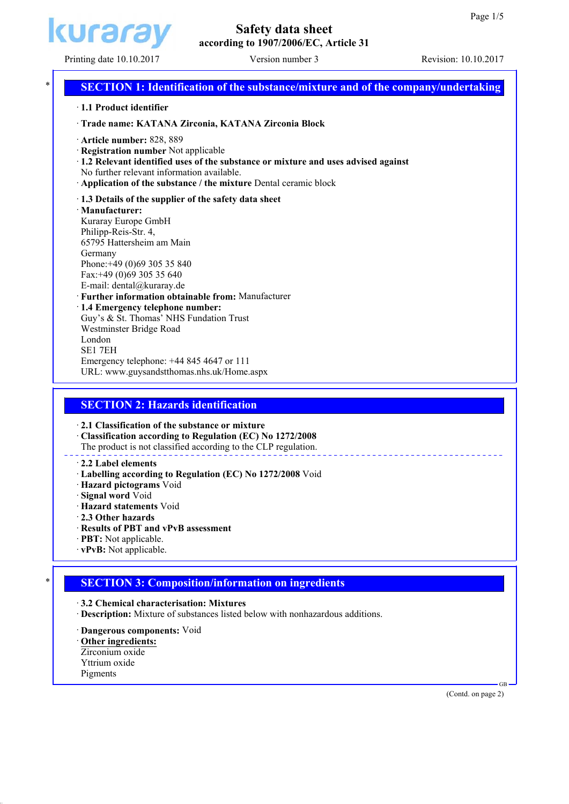

# **Safety data sheet according to 1907/2006/EC, Article 31**

# Printing date 10.10.2017 Version number 3 Revision: 10.10.2017 **SECTION 1: Identification of the substance/mixture and of the company/undertaking** · **1.1 Product identifier** · **Trade name: KATANA Zirconia, KATANA Zirconia Block** · **Article number:** 828, 889 · **Registration number** Not applicable · **1.2 Relevant identified uses of the substance or mixture and uses advised against** No further relevant information available. · **Application of the substance / the mixture** Dental ceramic block · **1.3 Details of the supplier of the safety data sheet** · **Manufacturer:**

Kuraray Europe GmbH Philipp-Reis-Str. 4, 65795 Hattersheim am Main Germany Phone:+49 (0)69 305 35 840 Fax:+49 (0)69 305 35 640 E-mail: dental@kuraray.de · **Further information obtainable from:** Manufacturer · **1.4 Emergency telephone number:** Guy's & St. Thomas' NHS Fundation Trust Westminster Bridge Road London SE1 7EH Emergency telephone: +44 845 4647 or 111

URL: www.guysandstthomas.nhs.uk/Home.aspx

# **SECTION 2: Hazards identification**

· **2.1 Classification of the substance or mixture**

· **Classification according to Regulation (EC) No 1272/2008** The product is not classified according to the CLP regulation.

# · **2.2 Label elements**

- · **Labelling according to Regulation (EC) No 1272/2008** Void
- · **Hazard pictograms** Void
- · **Signal word** Void
- · **Hazard statements** Void
- · **2.3 Other hazards**
- · **Results of PBT and vPvB assessment**
- · **PBT:** Not applicable.
- · **vPvB:** Not applicable.

# \* **SECTION 3: Composition/information on ingredients**

· **3.2 Chemical characterisation: Mixtures**

- · **Description:** Mixture of substances listed below with nonhazardous additions.
- · **Dangerous components:** Void
- · **Other ingredients:**
- Zirconium oxide Yttrium oxide
- Pigments

(Contd. on page 2)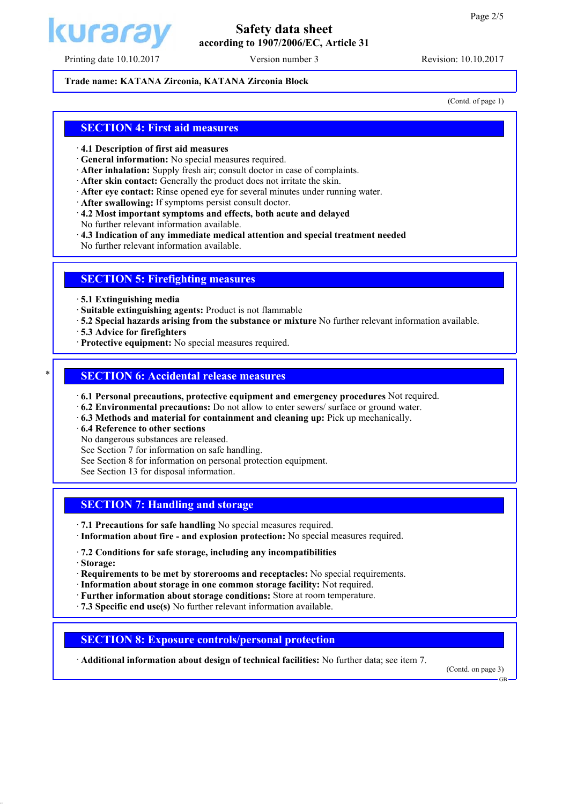

## Printing date 10.10.2017 Version number 3 Revision: 10.10.2017

# **Safety data sheet according to 1907/2006/EC, Article 31**

#### **Trade name: KATANA Zirconia, KATANA Zirconia Block**

(Contd. of page 1)

### **SECTION 4: First aid measures**

#### · **4.1 Description of first aid measures**

- · **General information:** No special measures required.
- · **After inhalation:** Supply fresh air; consult doctor in case of complaints.
- · **After skin contact:** Generally the product does not irritate the skin.
- · **After eye contact:** Rinse opened eye for several minutes under running water.
- · **After swallowing:** If symptoms persist consult doctor.
- · **4.2 Most important symptoms and effects, both acute and delayed**
- No further relevant information available.
- · **4.3 Indication of any immediate medical attention and special treatment needed**

No further relevant information available.

#### **SECTION 5: Firefighting measures**

· **5.1 Extinguishing media**

- · **Suitable extinguishing agents:** Product is not flammable
- · **5.2 Special hazards arising from the substance or mixture** No further relevant information available.
- · **5.3 Advice for firefighters**
- · **Protective equipment:** No special measures required.

#### **SECTION 6: Accidental release measures**

- · **6.1 Personal precautions, protective equipment and emergency procedures** Not required.
- · **6.2 Environmental precautions:** Do not allow to enter sewers/ surface or ground water.
- · **6.3 Methods and material for containment and cleaning up:** Pick up mechanically.
- · **6.4 Reference to other sections**
- No dangerous substances are released.
- See Section 7 for information on safe handling.
- See Section 8 for information on personal protection equipment.
- See Section 13 for disposal information.

## **SECTION 7: Handling and storage**

- · **7.1 Precautions for safe handling** No special measures required.
- · **Information about fire and explosion protection:** No special measures required.
- · **7.2 Conditions for safe storage, including any incompatibilities**

· **Storage:**

- · **Requirements to be met by storerooms and receptacles:** No special requirements.
- · **Information about storage in one common storage facility:** Not required.
- · **Further information about storage conditions:** Store at room temperature.
- · **7.3 Specific end use(s)** No further relevant information available.

#### **SECTION 8: Exposure controls/personal protection**

· **Additional information about design of technical facilities:** No further data; see item 7.

(Contd. on page 3)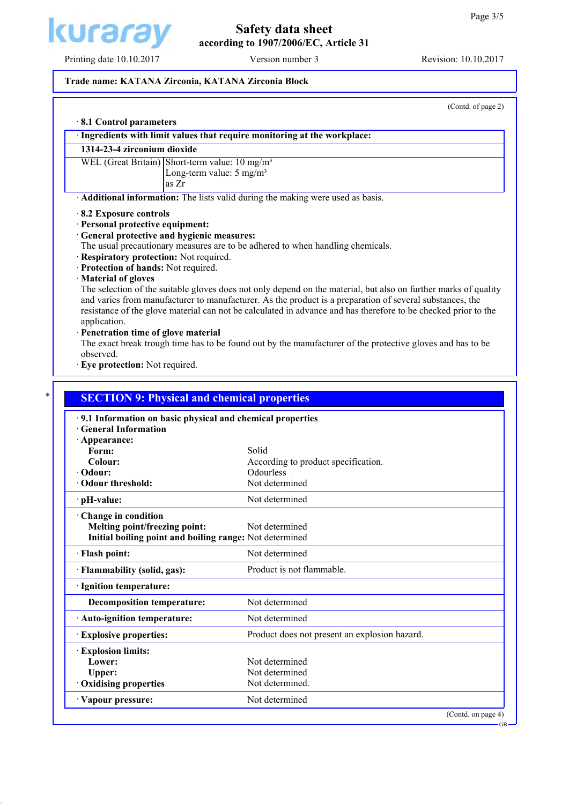

# Printing date 10.10.2017 Version number 3 Revision: 10.10.2017

# **Safety data sheet according to 1907/2006/EC, Article 31**

#### **Trade name: KATANA Zirconia, KATANA Zirconia Block**

(Contd. of page 2)

|                                                                                                                 | Ingredients with limit values that require monitoring at the workplace:                                                                                                                                                                                                                                                                       |
|-----------------------------------------------------------------------------------------------------------------|-----------------------------------------------------------------------------------------------------------------------------------------------------------------------------------------------------------------------------------------------------------------------------------------------------------------------------------------------|
| 1314-23-4 zirconium dioxide                                                                                     |                                                                                                                                                                                                                                                                                                                                               |
| WEL (Great Britain) Short-term value: 10 mg/m <sup>3</sup>                                                      |                                                                                                                                                                                                                                                                                                                                               |
| Long-term value: $5 \text{ mg/m}^3$                                                                             |                                                                                                                                                                                                                                                                                                                                               |
| as Zr                                                                                                           |                                                                                                                                                                                                                                                                                                                                               |
|                                                                                                                 | Additional information: The lists valid during the making were used as basis.                                                                                                                                                                                                                                                                 |
| 8.2 Exposure controls                                                                                           |                                                                                                                                                                                                                                                                                                                                               |
| · Personal protective equipment:                                                                                |                                                                                                                                                                                                                                                                                                                                               |
| General protective and hygienic measures:                                                                       |                                                                                                                                                                                                                                                                                                                                               |
| Respiratory protection: Not required.                                                                           | The usual precautionary measures are to be adhered to when handling chemicals.                                                                                                                                                                                                                                                                |
| Protection of hands: Not required.                                                                              |                                                                                                                                                                                                                                                                                                                                               |
| Material of gloves                                                                                              |                                                                                                                                                                                                                                                                                                                                               |
|                                                                                                                 | The selection of the suitable gloves does not only depend on the material, but also on further marks of quality<br>and varies from manufacturer to manufacturer. As the product is a preparation of several substances, the<br>resistance of the glove material can not be calculated in advance and has therefore to be checked prior to the |
| application.                                                                                                    |                                                                                                                                                                                                                                                                                                                                               |
| · Penetration time of glove material                                                                            |                                                                                                                                                                                                                                                                                                                                               |
|                                                                                                                 | The exact break trough time has to be found out by the manufacturer of the protective gloves and has to be                                                                                                                                                                                                                                    |
| observed.                                                                                                       |                                                                                                                                                                                                                                                                                                                                               |
| · Eye protection: Not required.                                                                                 |                                                                                                                                                                                                                                                                                                                                               |
| <b>SECTION 9: Physical and chemical properties</b><br>9.1 Information on basic physical and chemical properties |                                                                                                                                                                                                                                                                                                                                               |
| <b>General Information</b>                                                                                      |                                                                                                                                                                                                                                                                                                                                               |
| · Appearance:                                                                                                   |                                                                                                                                                                                                                                                                                                                                               |
| Form:<br>Colour:                                                                                                | Solid                                                                                                                                                                                                                                                                                                                                         |
| · Odour:                                                                                                        | According to product specification.<br>Odourless                                                                                                                                                                                                                                                                                              |
| · Odour threshold:                                                                                              | Not determined                                                                                                                                                                                                                                                                                                                                |
| · pH-value:                                                                                                     | Not determined                                                                                                                                                                                                                                                                                                                                |
| Change in condition                                                                                             |                                                                                                                                                                                                                                                                                                                                               |
| Melting point/freezing point:                                                                                   | Not determined                                                                                                                                                                                                                                                                                                                                |
| Initial boiling point and boiling range: Not determined                                                         |                                                                                                                                                                                                                                                                                                                                               |
| · Flash point:                                                                                                  | Not determined                                                                                                                                                                                                                                                                                                                                |
| · Flammability (solid, gas):                                                                                    | Product is not flammable.                                                                                                                                                                                                                                                                                                                     |
| · Ignition temperature:                                                                                         |                                                                                                                                                                                                                                                                                                                                               |
| <b>Decomposition temperature:</b>                                                                               | Not determined                                                                                                                                                                                                                                                                                                                                |
| · Auto-ignition temperature:                                                                                    | Not determined                                                                                                                                                                                                                                                                                                                                |
| <b>Explosive properties:</b>                                                                                    | Product does not present an explosion hazard.                                                                                                                                                                                                                                                                                                 |
|                                                                                                                 |                                                                                                                                                                                                                                                                                                                                               |
| <b>Explosion limits:</b><br>Lower:                                                                              | Not determined                                                                                                                                                                                                                                                                                                                                |
| Upper:                                                                                                          | Not determined                                                                                                                                                                                                                                                                                                                                |
| Oxidising properties                                                                                            | Not determined.                                                                                                                                                                                                                                                                                                                               |

(Contd. on page 4)

GB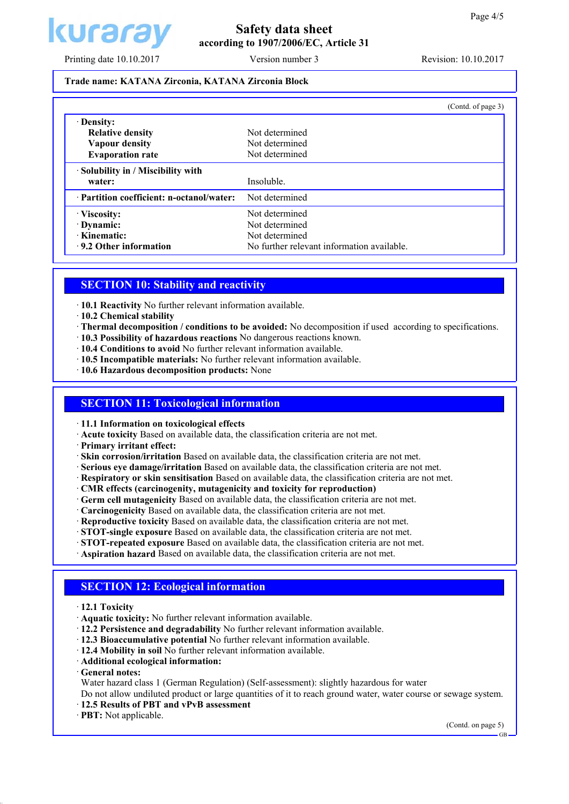

# **Safety data sheet according to 1907/2006/EC, Article 31**

Printing date 10.10.2017 Version number 3 Revision: 10.10.2017

### **Trade name: KATANA Zirconia, KATANA Zirconia Block**

|                                           | (Contd. of page 3)                         |
|-------------------------------------------|--------------------------------------------|
| Density:                                  |                                            |
| <b>Relative density</b>                   | Not determined                             |
| Vapour density                            | Not determined                             |
| <b>Evaporation rate</b>                   | Not determined                             |
| · Solubility in / Miscibility with        |                                            |
| water:                                    | Insoluble.                                 |
| · Partition coefficient: n-octanol/water: | Not determined                             |
| Viscosity:                                | Not determined                             |
| · Dynamic:                                | Not determined                             |
| · Kinematic:                              | Not determined                             |
| .9.2 Other information                    | No further relevant information available. |

## **SECTION 10: Stability and reactivity**

- · **10.1 Reactivity** No further relevant information available.
- · **10.2 Chemical stability**
- · **Thermal decomposition / conditions to be avoided:** No decomposition if used according to specifications.
- · **10.3 Possibility of hazardous reactions** No dangerous reactions known.
- · **10.4 Conditions to avoid** No further relevant information available.
- · **10.5 Incompatible materials:** No further relevant information available.
- · **10.6 Hazardous decomposition products:** None

## **SECTION 11: Toxicological information**

- · **11.1 Information on toxicological effects**
- · **Acute toxicity** Based on available data, the classification criteria are not met.
- · **Primary irritant effect:**

· **Skin corrosion/irritation** Based on available data, the classification criteria are not met.

- · **Serious eye damage/irritation** Based on available data, the classification criteria are not met.
- · **Respiratory or skin sensitisation** Based on available data, the classification criteria are not met.
- · **CMR effects (carcinogenity, mutagenicity and toxicity for reproduction)**
- · **Germ cell mutagenicity** Based on available data, the classification criteria are not met.
- · **Carcinogenicity** Based on available data, the classification criteria are not met.
- · **Reproductive toxicity** Based on available data, the classification criteria are not met.
- · **STOT-single exposure** Based on available data, the classification criteria are not met.
- · **STOT-repeated exposure** Based on available data, the classification criteria are not met.
- · **Aspiration hazard** Based on available data, the classification criteria are not met.

## **SECTION 12: Ecological information**

- · **12.1 Toxicity**
- · **Aquatic toxicity:** No further relevant information available.
- · **12.2 Persistence and degradability** No further relevant information available.
- · **12.3 Bioaccumulative potential** No further relevant information available.
- · **12.4 Mobility in soil** No further relevant information available.
- · **Additional ecological information:**
- · **General notes:**

Water hazard class 1 (German Regulation) (Self-assessment): slightly hazardous for water

Do not allow undiluted product or large quantities of it to reach ground water, water course or sewage system. · **12.5 Results of PBT and vPvB assessment**

· **PBT:** Not applicable.

(Contd. on page 5)